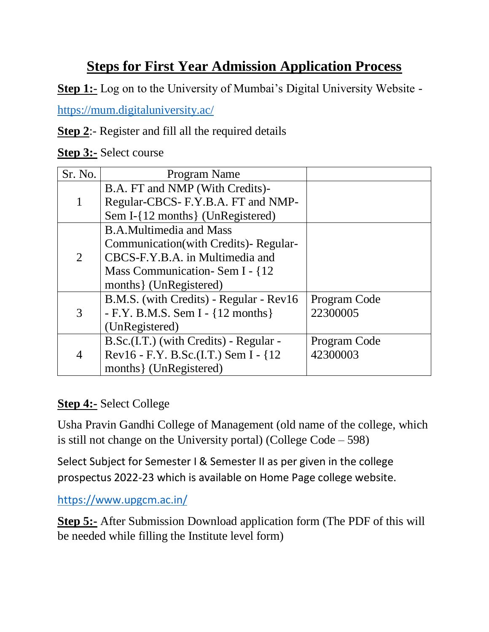## **Steps for First Year Admission Application Process**

**Step 1:**- Log on to the University of Mumbai's Digital University Website -

<https://mum.digitaluniversity.ac/>

**Step 2**:- Register and fill all the required details

**Step 3:-** Select course

| Sr. No. | Program Name                            |              |
|---------|-----------------------------------------|--------------|
|         | B.A. FT and NMP (With Credits)-         |              |
|         | Regular-CBCS- F.Y.B.A. FT and NMP-      |              |
|         | Sem I-{12 months} (UnRegistered)        |              |
| 2       | <b>B.A.Multimedia and Mass</b>          |              |
|         | Communication(with Credits)-Regular-    |              |
|         | CBCS-F.Y.B.A. in Multimedia and         |              |
|         | Mass Communication - Sem I - {12}       |              |
|         | months { (UnRegistered)                 |              |
| 3       | B.M.S. (with Credits) - Regular - Rev16 | Program Code |
|         | - F.Y. B.M.S. Sem I - ${12$ months }    | 22300005     |
|         | (UnRegistered)                          |              |
| 4       | B.Sc.(I.T.) (with Credits) - Regular -  | Program Code |
|         | Rev16 - F.Y. B.Sc.(I.T.) Sem I - {12}   | 42300003     |
|         | months { (UnRegistered)                 |              |

## **Step 4:-** Select College

Usha Pravin Gandhi College of Management (old name of the college, which is still not change on the University portal) (College Code – 598)

Select Subject for Semester I & Semester II as per given in the college prospectus 2022-23 which is available on Home Page college website.

<https://www.upgcm.ac.in/>

**Step 5:-** After Submission Download application form (The PDF of this will be needed while filling the Institute level form)